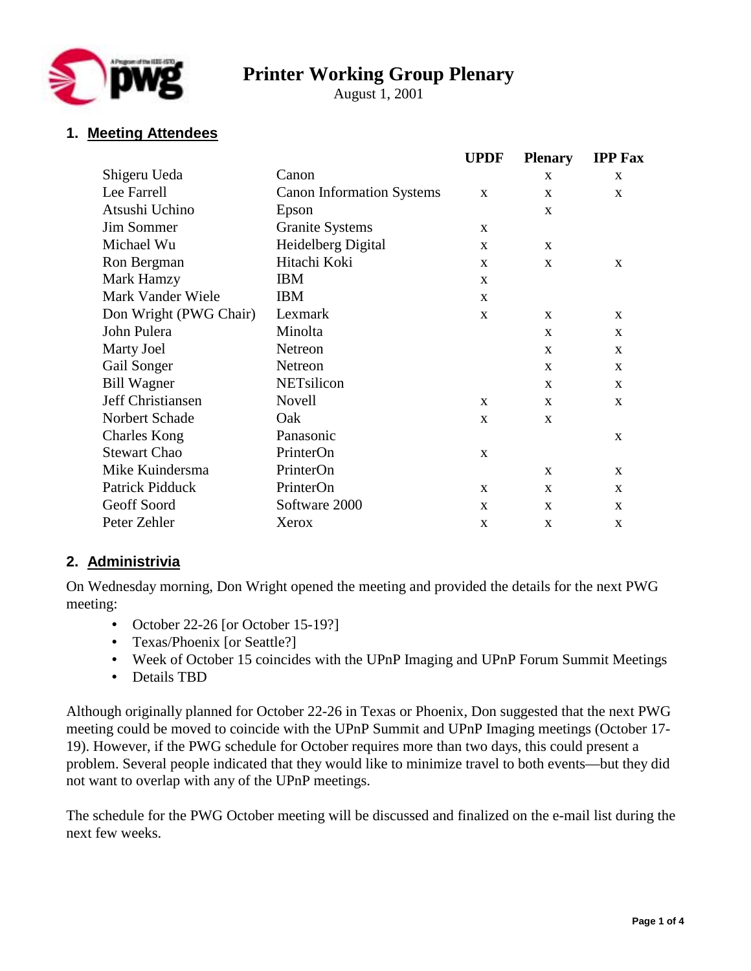

# **Printer Working Group Plenary**

August 1, 2001

## **1. Meeting Attendees**

|                        |                                  | <b>UPDF</b>  | <b>Plenary</b> | <b>IPP Fax</b> |
|------------------------|----------------------------------|--------------|----------------|----------------|
| Shigeru Ueda           | Canon                            |              | X              | X              |
| Lee Farrell            | <b>Canon Information Systems</b> | $\mathbf{x}$ | X              | X              |
| Atsushi Uchino         | Epson                            |              | X              |                |
| <b>Jim Sommer</b>      | <b>Granite Systems</b>           | $\mathbf{x}$ |                |                |
| Michael Wu             | Heidelberg Digital               | X            | X              |                |
| Ron Bergman            | Hitachi Koki                     | $\mathbf{x}$ | $\mathbf{x}$   | $\mathbf{x}$   |
| Mark Hamzy             | <b>IBM</b>                       | X            |                |                |
| Mark Vander Wiele      | <b>IBM</b>                       | $\mathbf{x}$ |                |                |
| Don Wright (PWG Chair) | Lexmark                          | $\mathbf{X}$ | $\mathbf{X}$   | $\mathbf{x}$   |
| John Pulera            | Minolta                          |              | X              | X              |
| <b>Marty Joel</b>      | Netreon                          |              | $\mathbf{x}$   | $\mathbf{X}$   |
| Gail Songer            | Netreon                          |              | X              | X              |
| <b>Bill Wagner</b>     | <b>NETsilicon</b>                |              | X              | X              |
| Jeff Christiansen      | <b>Novell</b>                    | $\mathbf{x}$ | X              | $\mathbf{x}$   |
| Norbert Schade         | Oak                              | X            | X              |                |
| <b>Charles Kong</b>    | Panasonic                        |              |                | $\mathbf{x}$   |
| <b>Stewart Chao</b>    | PrinterOn                        | X            |                |                |
| Mike Kuindersma        | PrinterOn                        |              | X              | X              |
| Patrick Pidduck        | PrinterOn                        | $\mathbf{x}$ | $\mathbf{x}$   | $\mathbf{X}$   |
| Geoff Soord            | Software 2000                    | X            | X              | X              |
| Peter Zehler           | Xerox                            | X            | X              | X              |

### **2. Administrivia**

On Wednesday morning, Don Wright opened the meeting and provided the details for the next PWG meeting:

- October 22-26 [or October 15-19?]
- Texas/Phoenix [or Seattle?]
- Week of October 15 coincides with the UPnP Imaging and UPnP Forum Summit Meetings
- Details TBD

Although originally planned for October 22-26 in Texas or Phoenix, Don suggested that the next PWG meeting could be moved to coincide with the UPnP Summit and UPnP Imaging meetings (October 17- 19). However, if the PWG schedule for October requires more than two days, this could present a problem. Several people indicated that they would like to minimize travel to both events—but they did not want to overlap with any of the UPnP meetings.

The schedule for the PWG October meeting will be discussed and finalized on the e-mail list during the next few weeks.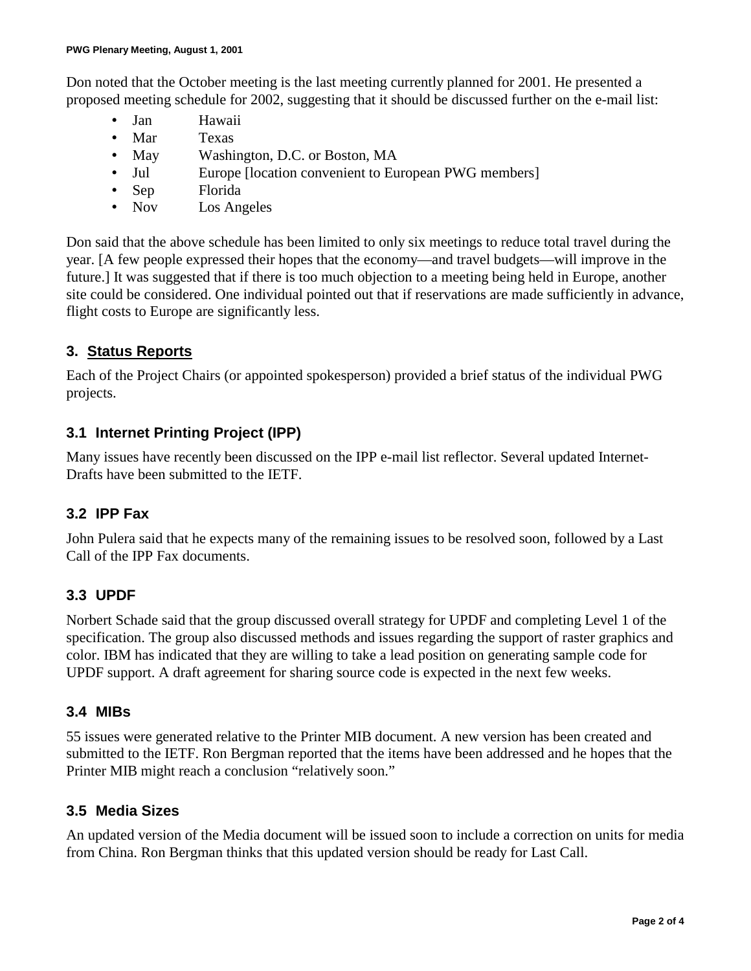Don noted that the October meeting is the last meeting currently planned for 2001. He presented a proposed meeting schedule for 2002, suggesting that it should be discussed further on the e-mail list:

- Jan Hawaii
- Mar Texas
- May Washington, D.C. or Boston, MA
- Jul Europe [location convenient to European PWG members]
- Sep Florida
- Nov Los Angeles

Don said that the above schedule has been limited to only six meetings to reduce total travel during the year. [A few people expressed their hopes that the economy—and travel budgets—will improve in the future.] It was suggested that if there is too much objection to a meeting being held in Europe, another site could be considered. One individual pointed out that if reservations are made sufficiently in advance, flight costs to Europe are significantly less.

## **3. Status Reports**

Each of the Project Chairs (or appointed spokesperson) provided a brief status of the individual PWG projects.

### **3.1 Internet Printing Project (IPP)**

Many issues have recently been discussed on the IPP e-mail list reflector. Several updated Internet-Drafts have been submitted to the IETF.

### **3.2 IPP Fax**

John Pulera said that he expects many of the remaining issues to be resolved soon, followed by a Last Call of the IPP Fax documents.

### **3.3 UPDF**

Norbert Schade said that the group discussed overall strategy for UPDF and completing Level 1 of the specification. The group also discussed methods and issues regarding the support of raster graphics and color. IBM has indicated that they are willing to take a lead position on generating sample code for UPDF support. A draft agreement for sharing source code is expected in the next few weeks.

### **3.4 MIBs**

55 issues were generated relative to the Printer MIB document. A new version has been created and submitted to the IETF. Ron Bergman reported that the items have been addressed and he hopes that the Printer MIB might reach a conclusion "relatively soon."

### **3.5 Media Sizes**

An updated version of the Media document will be issued soon to include a correction on units for media from China. Ron Bergman thinks that this updated version should be ready for Last Call.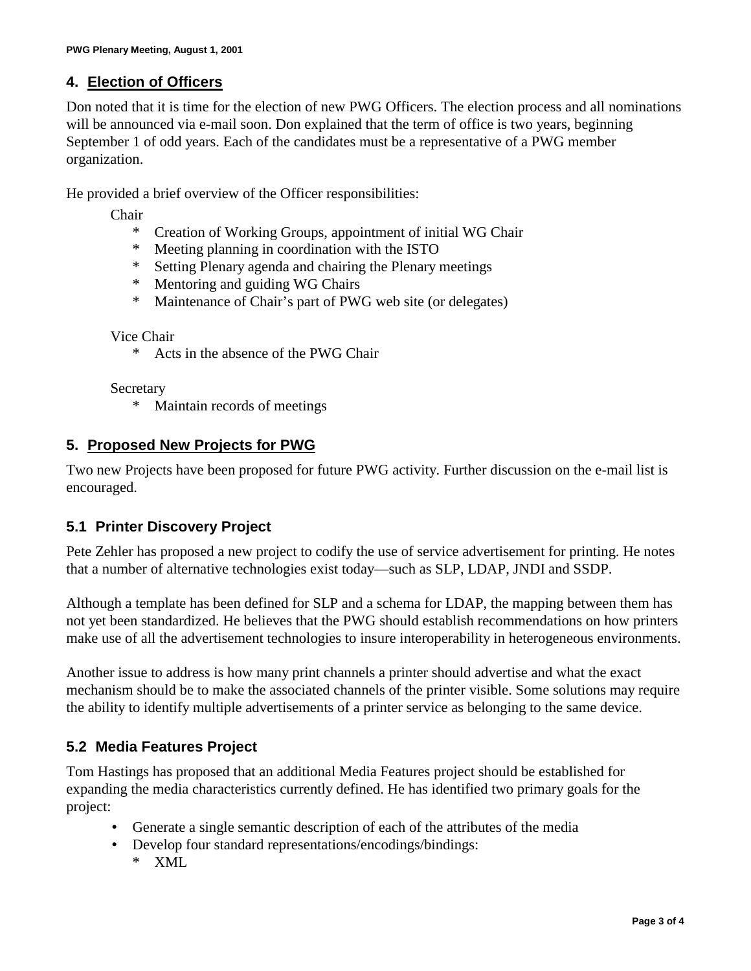### **4. Election of Officers**

Don noted that it is time for the election of new PWG Officers. The election process and all nominations will be announced via e-mail soon. Don explained that the term of office is two years, beginning September 1 of odd years. Each of the candidates must be a representative of a PWG member organization.

He provided a brief overview of the Officer responsibilities:

Chair

- \* Creation of Working Groups, appointment of initial WG Chair
- \* Meeting planning in coordination with the ISTO
- \* Setting Plenary agenda and chairing the Plenary meetings
- \* Mentoring and guiding WG Chairs
- \* Maintenance of Chair's part of PWG web site (or delegates)

Vice Chair

\* Acts in the absence of the PWG Chair

Secretary

\* Maintain records of meetings

#### **5. Proposed New Projects for PWG**

Two new Projects have been proposed for future PWG activity. Further discussion on the e-mail list is encouraged.

### **5.1 Printer Discovery Project**

Pete Zehler has proposed a new project to codify the use of service advertisement for printing. He notes that a number of alternative technologies exist today—such as SLP, LDAP, JNDI and SSDP.

Although a template has been defined for SLP and a schema for LDAP, the mapping between them has not yet been standardized. He believes that the PWG should establish recommendations on how printers make use of all the advertisement technologies to insure interoperability in heterogeneous environments.

Another issue to address is how many print channels a printer should advertise and what the exact mechanism should be to make the associated channels of the printer visible. Some solutions may require the ability to identify multiple advertisements of a printer service as belonging to the same device.

### **5.2 Media Features Project**

Tom Hastings has proposed that an additional Media Features project should be established for expanding the media characteristics currently defined. He has identified two primary goals for the project:

- Generate a single semantic description of each of the attributes of the media
- Develop four standard representations/encodings/bindings:
	- XML